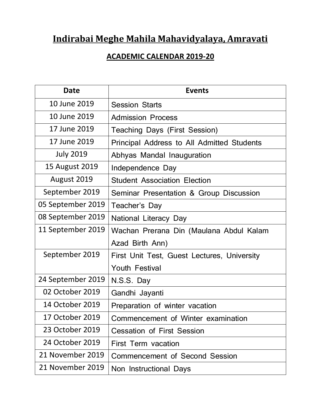## **Indirabai Meghe Mahila Mahavidyalaya, Amravati**

## **ACADEMIC CALENDAR 2019-20**

| <b>Date</b>       | <b>Events</b>                               |
|-------------------|---------------------------------------------|
| 10 June 2019      | <b>Session Starts</b>                       |
| 10 June 2019      | <b>Admission Process</b>                    |
| 17 June 2019      | <b>Teaching Days (First Session)</b>        |
| 17 June 2019      | Principal Address to All Admitted Students  |
| <b>July 2019</b>  | Abhyas Mandal Inauguration                  |
| 15 August 2019    | Independence Day                            |
| August 2019       | <b>Student Association Election</b>         |
| September 2019    | Seminar Presentation & Group Discussion     |
| 05 September 2019 | Teacher's Day                               |
| 08 September 2019 | National Literacy Day                       |
| 11 September 2019 | Wachan Prerana Din (Maulana Abdul Kalam     |
|                   | Azad Birth Ann)                             |
| September 2019    | First Unit Test, Guest Lectures, University |
|                   | <b>Youth Festival</b>                       |
| 24 September 2019 | N.S.S. Day                                  |
| 02 October 2019   | Gandhi Jayanti                              |
| 14 October 2019   | Preparation of winter vacation              |
| 17 October 2019   | Commencement of Winter examination          |
| 23 October 2019   | <b>Cessation of First Session</b>           |
| 24 October 2019   | <b>First Term vacation</b>                  |
| 21 November 2019  | <b>Commencement of Second Session</b>       |
| 21 November 2019  | Non Instructional Days                      |